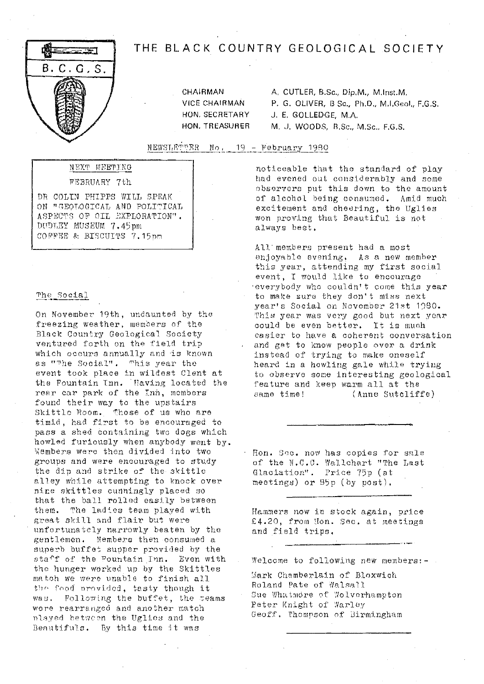# ≍ਾਤਾ B. C. G. S.

# THE BLACK COUNTRY GEOLOGICAL SOCIETY

CHAIRMAN **VICE CHAIRMAN** HON. SECRETARY HON. TREASURER A. CUTLER, B.Sc., Dip.M., M.Inst.M. P. G. OLIVER. B Sc., Ph.D., M.I.Geol., F.G.S. J. E. GOLLEDGE, M.A. M. J. WOODS, B.Sc., M.Sc., F.G.S.

NEWSLETTER No. 19 - February 1980

# NEXT MEETING

#### FEBRUARY 7th

DR COLIN PHIPPS WILL SPEAK ON "GEOLOGICAL AND POLITICAL ASPECTS OF OIL EXPLORATION". DUDLEY MUSEUM 7.45pm COFFEE & BISCUITS 7.15pm

#### The Social

On November 19th, undaunted by the freezing weather, members of the Black Country Geological Society ventured forth on the field trip which occurs annually and is known as "The Social". This year the event took place in wildest Clent at the Fountain Inn. Having located the rear car park of the Inn, members found their way to the upstairs Skittle Room. Those of us who are timid, had first to be encouraged to pass a shed containing two dogs which howled furiously when anybody went by. Members were then divided into two groups and were encouraged to study the dip and strike of the skittle alley while attempting to knock over nine skittles cunningly placed so that the ball rolled easily between them. The ladies team played with great skill and flair but were unfortunately narrowly beaten by the gentlemen. Members then consumed a superb buffet supper provided by the staff of the Pountain Inn. Even with the hunger worked up by the Skittles match we were unable to finish all the food provided, tasty though it was. Following the buffet, the teams were rearranged and another match nlayed between the Uglies and the Beautifuls. By this time it was

noticeable that the standard of play had evened out considerably and some observers put this down to the amount of alcohol being consumed. Amid much excitement and cheering, the Uglies won proving that Beautiful is not always best.

All members present had a most enjoyable evening. As a new member this year, attending my first social event, I would like to encourage everybody who couldn't come this year to make sure they don't miss next year's Social on November 21st 1980. This year was very good but next year could be even better. It is much casier to have a coherent conversation and get to know people over a drink instead of trying to make oneself heard in a howling gale while trying to observe some interesting geological feature and keep warm all at the same time! (Anne Sutcliffe)

Hon. Sec. now has copies for sale of the N.C.C. Wallchart "The Last Glaciation". Price 75p (at meetings) or 95p (by post).

Hammers now in stock again, price £4.20, from Hon. Sec. at meetings and field trips.

Welcome to following new members:-

Mark Chamberlain of Bloxwich Roland Pate of Walsall Sue Whatmore of Wolverhampton Peter Knight of Warley Geoff. Thompson of Birmingham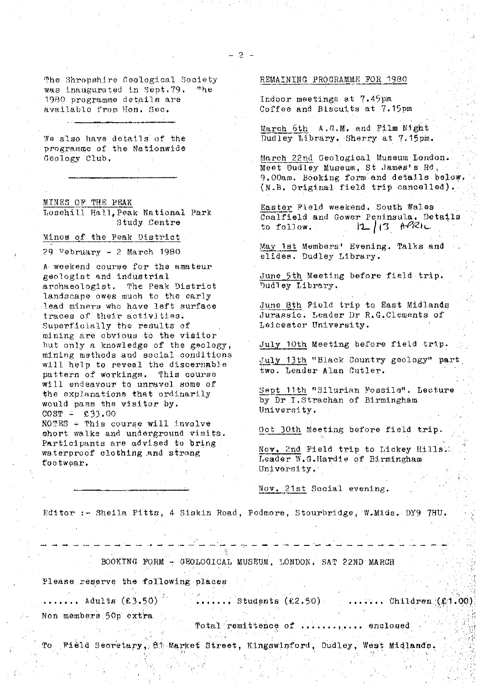We also have details of the programme of the Nationwide Geology Club.

MINES OF THE REAK T osehill Ha11, Peak National Park Study. Centre

Minos of the Peak District

29 February - 2 March 1980

A weekend course for the amateur geologist and industrial. archaeologist. The Peak District landscape owes much to the early lead miners who have left surface traces of their activities. *Superficially the results of* mining are obvious to *the visitor* but only a knowledge of the geology, mining methods and social\_ conditions will help to reveal the discernable pattern of workings. This course will endeavour to unravel some of the explanations that ordinarily would pass the visitor. by.  $COST = 633.00$ 

 $NOTES \div This course will involve$ short walks and underground visits. Participants are advised to bring waterproof clothing and strong footwear,

#### REMAINING PROGRAMME FOR 1980

Indoor meetings at 7.45pm Coffee and Biscuits at 7.15pm

March 5th A.G.M. and Film Night march oth A.G.M. and rith wight<br>Dudley Library. Sherry at 7.15pm.

March 22nd Geological Museum London. Meet Dudley Museum, St James's Rd, 9.00am. Booking form and details below. (N.B. Original field trip cancelled).

Easter Field weekend. South Wales Coalfield and Gower Peninsula. Details<br>to follow.<br> $12/3$   $\theta$ PRIC  $|2|13$   $h^{\rho}$ RIL

May 1st Members' Evening. Talks and slides. Dudley Library.

June 5th Meeting before field trip. Dudley Library.

June 8th Field trip to East Midlands Jurassic. Leader Dr R.G.Clements of Leicester University.

July 10th Meeting before field trip.

July 13th "Black Country geology" part two. Leader Alan Cutler,

Sept 11th "Silurian Fossils". Lecture by Dr I.Strachan of Birmingham University.

Oct 30th Meeting before field trip.

Nov. 2nd Field trip to Lickey Hills. Leader W.G.Hardie of Birmingham University.

Nov. 21st Social evening.

Editor c- Sheila Pitts, 4 iskin Road, Podniore, Stourhridge, **W.Mids.** DY9 7HU.

BOOKING FORM - GEOLOGICAL MUSEUM, LONDON, SAT 22ND MARCH

Please reserve the following places

:.

 $\ldots \ldots$  Adults (£3.50)  $\dots$ .....: Students (£2.50)  $\dots$ ....., Children (£1.00); Non members 50p extra.

Total remittence of ............ enclosed

To Field Secretary, 81 Market Street, Kingswinford, Dudley, West Midlands.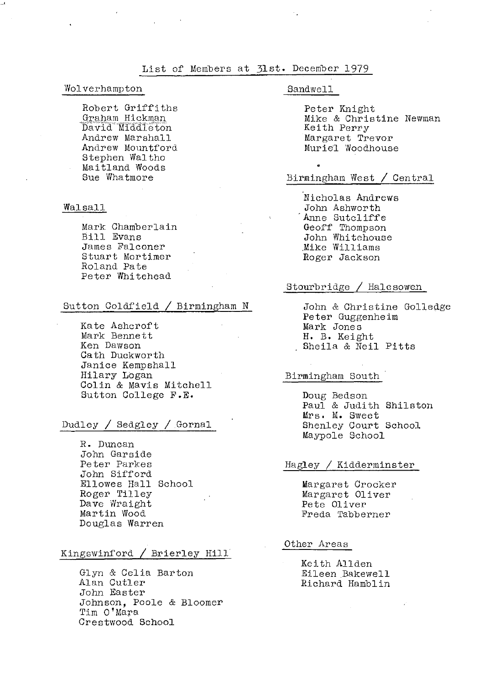#### List of Members at 31st. December 1979

#### Wolverhampton

Robert Griffiths Graham Hickman David Middleton Andrew Marshall Andrew Mountford Stephen Waltho Maitland Woods Sue Whatmore

#### Walsall

Mark Chamberlain Bill Evans James Falconer Stuart Mortimer Roland Pate Peter Whitehead

#### Sutton Goldfield / Birmingham N

Kate Ashcroft Mark Bennett Ken Dawson Oath Duckworth Janice Kempshall Hilary Logan Colin & Mavis Mitchell Sutton College F.E.

## Dudley / Sedgley /.Gornal

R. Duncan John Garside Peter Parkes John Sifford Ellowes Hall School Roger Tilley Dave Wraight Martin Wood Douglas Warren

#### Kingswinford / Brierley Hill.

Glyn & Celia Barton Alan Cutler John Easter Johnson, Poole & Bloomer Tim O'Mara Crestwood School

#### Sandwell

9

Peter Knight Mike & Christine Newman Keith Perry Margaret Trevor Muriel Woodhouse

## Birmingham West / Central

Nicholas Andrews John Ashworth Anne Sutcliffe Geoff Thompson John Whitehouse ,Mike Williams Roger Jackson

#### Stourbridge / Halesowen

John & Christine Golledge Peter Guggenheim Mark Jones H. B. Keight Sheila & Neil Pitts

#### Birmingham South

Doug Bedson Paul & Judith Shileton Mrs. M. Sweet Shenley Court School Maypole School

#### Hagley / Kidderminster

Margaret Crocker Margaret Oliver Pete Oliver Freda Tabberner

#### Other Areas

Keith Allden Eileen Bakewell Richard Hamblin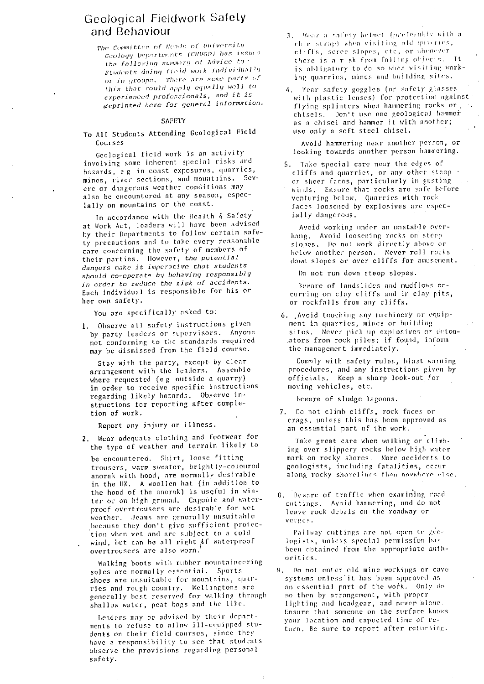# Geological Fieldwork Safety and Behaviour

The Committee of Heads of University Geology Departments (CHUGD) has issued the following summary of Advice to  $Students$  *doing (inld work individually Cr in groups, There are some parts this* that *could* 'Ipply *<sup>c</sup> • <sup>r</sup><sup>1</sup> rrirlly* well to  $expherical$  professionals, and it is 4reprinted here for general information

#### SAFETY

#### To All Students Attending Geologica <sup>l</sup> Field Courses

Geological field work is an activity involving some inherent special risks and hazards, e g in coast exposures, quarries, mines, river sections, and mountains. Severe or dangerous weather conditions may also be encountered at any season, especially on mountains or the coast.

In accordance with the Health & Safety at Work Act, leaders will have been advised by their Departments to follow certain safety precautions and to take every reasonable care concerning the safety of members of their parties. However, the potential *dangers* make it *imperative* that *students* should co-operate by behaving responsibly in order to reduce the risk of accidents. Each individual is responsible for his or her own safety.

You are specifically asked to:

1. Observe all safety instructions given by party leaders or supervisors. Anyone not conforming to the standards required may he dismissed from the field course.

Stay with the party, except by clear arrangement with the leaders. Assemble where requested (e g outside a quarry) in order to receive specific instructions regarding likely hazards. observe instructions for reporting after completion of work.

Report any injury or illness.

2. Wear adequate clothing and footwear for the type of weather and terrain likely to

be encountered. Shirt, loose fitting trousers, warm sweater, brightly-coloured anorak with hood, are normally desirable in the UK. A woollen hat (in addition to the hood of the anorak) is useful in winter or on high ground. Cagoule and waterproof ovcrtrousers are desirable for wet weather. Jeans are generally unsuitable because they don't give sufficient prolection when wet and are subject to a cold wind, but can be all right  $\beta f$  waterproof overtrousers are also worn.

Walking hoots with rubber mountaineering soles are normally essential. Sports shoes are unsuitable for mountains, quarries and rough country. Wellingtons are generally hest reserved for walking through shallow water, peat hogs and the like,

Leaders may be advised by their departments to refuse to allow ill-equipped students on their field courses, since they have a responsibility to see that students observe the provisions regarding personal safety.

- 3, Wear a safety helmet (preferably with a rhin strap) when visiting old quierres, cliffs, scree slopes, etc, or whenever eliffs, scree slopes, etc, or when<br>there is a risk from falling object<br>. i s. It. is obligatory to do so when visiting worklug quarries, mines and buiIding silos.
- 4, Wear safety goggles (or safety glasses with plastic lenses) for protection against flying splinters when hammering rocks or. chisels. Don't use one geological hammer as a chisel and hammer it with another.; use only a soft steel chisel.

Avoid hammering near another person, or looking towards another person hammering.

5. Take special care near the edges of cliffs and quarries, or any other steep or sheer faces, particularly in gusting winds. Ensure that rocks are safe before venturing below, Quarries with rock faces loosened by explosives are especially dangerous.

Avoid working under an unstable overhang. Avoid loosening rocks on steep slopes. Do not work directly above or below another person, Never roll rocks down slopes or over cliffs for amusement.

Do not run down steep slopes.

Beware of landslides and mudflows occurring on clay cliffs and in clay pits, or rockfalls from any cliffs.

6. Avoid touching any machinery or equipment in quarries, mines or building sites. Never pick up explosives or deton-,ators from rock piles; if found, inform the management immediately.

Comply with safety rules, blast warning procedures, and any instructions given by officials. Keep a sharp look-out for moving vehicles, etc.,

Beware of sludge lagoons.

7. Do not climb cliffs, rock faces or crags, unless this has been approved as an essential part. of the work,

Take great care when walking or climbing over slippery rocks below high water mark on rocky shores, More accidents to geologists, including fatalities, occur along rocky shorelines than anywhere else

8. Beware of traffic when examining road cuttings. Avoid hammering, and do not leave rock debris on the roadway or verines.

Pailway cuttings are not open to geologists, unless special permission has been obtained from the appropriate authorities.

Po not enter old mine workings or cave systems unless it has been approved as an essential part of the work. Only do so then by arrangement, with proper lighting and headgear; and never alone. Ensure that someone on the surface knows your location and expected time of return, Be sure to report after returning;.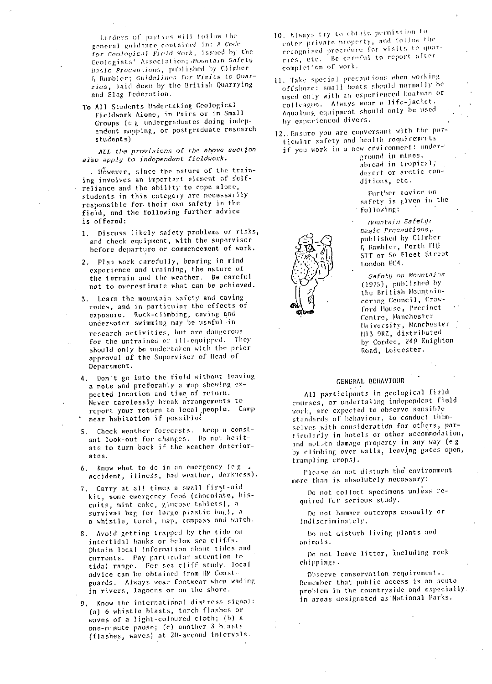Lenders of parties will follow the general guidance contained in: A Code for Geological Field Work, issned by the Geologists<sup>+</sup> Association; Mountain Safety hasic Precautions, published by Climber F Rilrnbler; Guidelin *r*s *Far VlsIts* to **Quar**ries, laid down by the British Quarrying and Slag Federation,

To All Students Undertaking Geological Fieldwork Alone, in Pairs or in Small Groups (e g undergraduates doing independent mapping, or postgradudte research students)

ALL the provisions of the above *section* also apply to independent fieldwork.

. However, since the nature of the training involves an important element of selfreliance and the ability to cope alone, students in this category are necessarily responsible for their own safety in the field, and the following further advice is offered:

- 1. Discuss likely safety problems or risks, and check equipment, with the supervisor before departure or commencement of work.
	- 2. Plan work carefully, bearing in mind experience and training, the nature of the terrain and the weather, Be careful not to overestimate what can be achieved.
	- 3. Learn the mountain safety and caving codes, and in particular the effects of exposure. Rock-climbing, caving and underwater swimming may be useful in research activities, but are dangerous for the untrained or ill-equipped. They should only be underta#en with the prior approval of the Supervisor of Ifead of Department.
	- 4. Don't go into the field without leaving a note and preferahly a map showing expected location and time of return. Never carelessly break arrangements to report your return to local people. Camp near habitation if possible(
	- 5. Check weather forecasts. Keep a constant look-out for changes. Do not hesitate to turn back if the weather deteriorates.
	- $6.$  Know what to do in an emergency (e.g., accident, illness, had weather, darkness).
	- 7. Carry at all times a small first-aid kit, some emergency food (chocolate, biscuits, mint cake, glucose tablets}, a survival bag (or large plastic hag), a a whistle, torch, map, compass and watch.
	- Avoid getting trapped by the tide on intertidal banks or helow sea cliffs. Obtain Iocal inCormalion about tides and currents. I'ay particular attention to tidal range. For **sea** cliff study, local advice can he obtained from III Coastguards. Always wear footwear when wading; in rivers, lagoons or on the shore.
	- 9. Know the international distress signal: (a) 6 whistle hlasts, torch flashes or waves of a light-coloured cloth; (h) a one-minute pause; (c} another 3 blasts (flashes, waves) at 20-second intervals.
- 10. Always try to obtain permission  $\pm$ enter private property, and follow the recognised procedure for visits to quarries, etc. Be careful to report after completion of work.
- ii. 'fake special precautions when working; offshore: small boats should normally he used only with an experienced boatman or colleague. Always wear a life-jacket, Aqualung equipment should only be used by experienced divers.
- 12. Ensure you are conversant with the particular safety and health requirements if you work in a new environment: under-

ground in mines, abroad in tropical; desert or arctic con

Further advice on safety is given in the following:

<sup>1</sup>'*Rniintain Safety* l3a *ij* ia Precautions,. published by Climher  $\left\{\n \begin{array}{r}\n \text{number, Perth, PIL}\n \text{for the number of freedom}\n \end{array}\n \right\}$ 5'FT or 5R € leet Street ' <sup>+</sup> London ECd.

Safety on Mountains  $\begin{array}{ll}\n\mathcal{T} & \text{then} \\
\mathcal{T} & \text{then} \\
\mathcal{T} & \text{then} \\
\mathcal{T} & \text{then} \\
\mathcal{T} & \text{then} \\
\mathcal{T} & \text{then} \\
\mathcal{T} & \text{then} \\
\mathcal{T} & \text{then} \\
\mathcal{T} & \text{then} \\
\mathcal{T} & \text{then} \\
\mathcal{T} & \text{then} \\
\mathcal{T} & \text{then} \\
\mathcal{T} & \text{then} \\
\mathcal{T} & \text{then} \\
\mathcal{T} & \text{then} \\
\mathcal{T} & \text{then} \\
\mathcal{T} & \text{then} \\
\mathcal{T} & \text$ ecring Council, Crawford (louse, Precinct Centre, Manchester University, Manchester 1.11 3 9RZ, distributed by Cordee, 249 Knighton Road, Leicester..

#### GENERAL BEHAVIOUR

All participants in geological field courses, or undertaking independent field work, are expected to observe sensible standards of behaviour, to conduct themselves with consideration for others, parti cularly in hotels or other accommodation, and not to damage property in any way (eg by climbing over walls, leaving gates open, trampling crops).

Please do not disturb the environment mere than is absolutely necessary:

Do not collect specimens unless required for serious study.

Do not hammer outcrops casually or ind iscriminately.

Do not disturb living plants and mlimal s.

Do not leave litter, including rock chi ppings.

Observe conservation requirements. Remember that public access is an acute problem in the countryside and especially. in areas designated as'National Parks,

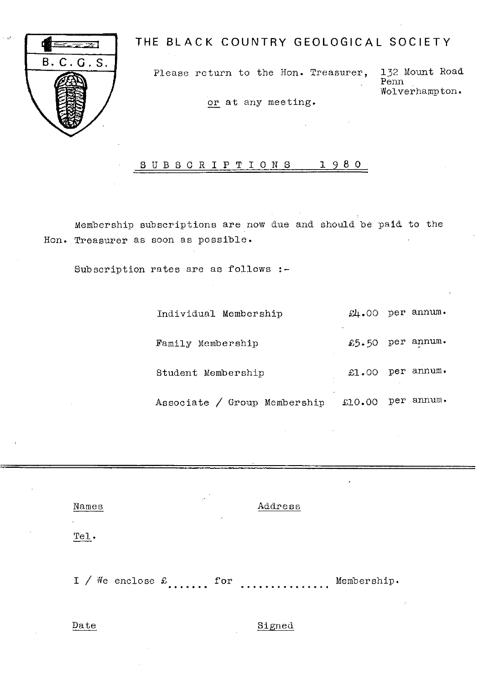

# THE BLACK COUNTRY GEOLOGICAL SOCIETY

Please return to the Hon. Treasurer, 132 Mount Road

Penn Wolverhampton.

or at any meeting.

## SUBSCR **<sup>I</sup> <sup>P</sup>** TION **<sup>S</sup>** 1 9 8 0

Membership subscriptions are now due and should be paid to the Hon. Treasurer as soon as possible.

Subscription rates are as follows :-

| Individual Membership        | $\mathfrak{L}$ . 00 | per annum. |
|------------------------------|---------------------|------------|
| Family Membership            | £5.50               | per annum. |
| Student Membership           | £.00                | per annum. |
| Associate / Group Membership | £10.00              | per annum. |

| Names           | . .<br>$\cdot$ . | Address |  |
|-----------------|------------------|---------|--|
| $\cdot$<br>Tel. |                  |         |  |

I / We enclose  $\pounds$ ....... for ................. Membership.

Date Signed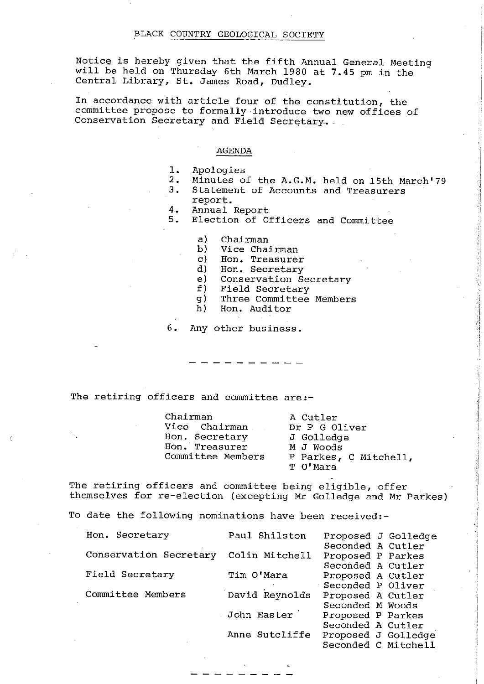Notice is hereby given that the fifth Annual General Meeting will be held on Thursday 6th March 1980 at 7.45 pm in the Central Library, St. James Road, Dudley.

In accordance with article four of the constitution, the committee propose to formally introduce two new offices of Conservation Secretary and Field Secretary.

#### AGENDA

- 1. Apologies<br>2. Minutes o
- 2. Minutes of the A.G.M. held on 15th March'79
- 3. Statement of Accounts and Treasurers
	- report.
- 4. Annual Report<br>5. Election of Of
- 5. Election of Officers and Committee
	- a) Chairman<br>b) Vice Chai
	- b) Vice Chairman<br>c) Hon. Treasure:
	- c) Hon. Treasurer<br>d) Hon. Secretary
	- d) Hon. Secretary<br>e) Conservation Se
	- e) Conservation Secretary<br>f) Field Secretary
	- f) Field Secretary
	- g) Three Committee Members<br>h) Hon, Auditor
	- Hon. Auditor

6. Any other business.

The retiring officers and committee are:-

Chairman A Cutler<br>Vice Chairman Dr P G Oliver Vice Chairman. Dr P G Oliver<br>Hon. Secretary J Golledge Hon. Secretary J Golledge<br>Hon. Treasurer M J Woods Hon. Treasurer<br>Committee Members

P Parkes, C Mitchell, T O'Mara

The retiring officers and committee being eligible, offer themselves for re-election (excepting Mr Golledge and Mr Parkes)

To date the following nominations have been received:-

| Hon. Secretary                        | Paul Shilston  | Proposed J Golledge |
|---------------------------------------|----------------|---------------------|
|                                       |                | Seconded A Cutler   |
| Conservation Secretary Colin Mitchell |                | Proposed P Parkes   |
|                                       |                | Seconded A Cutler   |
| Field Secretary                       | Tim O'Mara     | Proposed A Cutler   |
|                                       |                | Seconded P Oliver   |
| Committee Members                     | David Reynolds | Proposed A Cutler   |
|                                       |                | Seconded M Woods    |
|                                       | John Easter    | Proposed P Parkes   |
|                                       |                | Seconded A Cutler   |
|                                       | Anne Sutcliffe | Proposed J Golledge |
|                                       |                | Seconded C Mitchell |